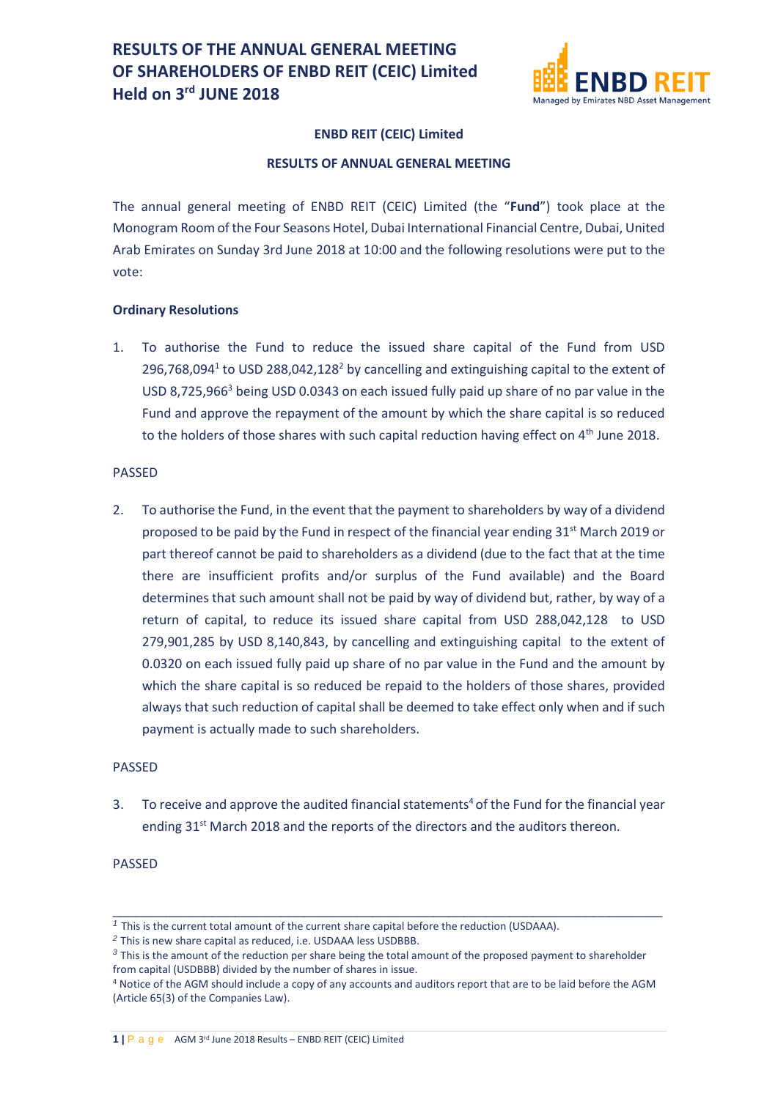# **RESULTS OF THE ANNUAL GENERAL MEETING OF SHAREHOLDERS OF ENBD REIT (CEIC) Limited Held on 3rd JUNE 2018**



# **ENBD REIT (CEIC) Limited**

# **RESULTS OF ANNUAL GENERAL MEETING**

The annual general meeting of ENBD REIT (CEIC) Limited (the "**Fund**") took place at the Monogram Room of the Four Seasons Hotel, Dubai International Financial Centre, Dubai, United Arab Emirates on Sunday 3rd June 2018 at 10:00 and the following resolutions were put to the vote:

# **Ordinary Resolutions**

1. To authorise the Fund to reduce the issued share capital of the Fund from USD 296,768,094<sup>1</sup> to USD 288,042,128<sup>2</sup> by cancelling and extinguishing capital to the extent of USD 8,725,966<sup>3</sup> being USD 0.0343 on each issued fully paid up share of no par value in the Fund and approve the repayment of the amount by which the share capital is so reduced to the holders of those shares with such capital reduction having effect on 4<sup>th</sup> June 2018.

# PASSED

2. To authorise the Fund, in the event that the payment to shareholders by way of a dividend proposed to be paid by the Fund in respect of the financial year ending  $31^{st}$  March 2019 or part thereof cannot be paid to shareholders as a dividend (due to the fact that at the time there are insufficient profits and/or surplus of the Fund available) and the Board determines that such amount shall not be paid by way of dividend but, rather, by way of a return of capital, to reduce its issued share capital from USD 288,042,128 to USD 279,901,285 by USD 8,140,843, by cancelling and extinguishing capital to the extent of 0.0320 on each issued fully paid up share of no par value in the Fund and the amount by which the share capital is so reduced be repaid to the holders of those shares, provided always that such reduction of capital shall be deemed to take effect only when and if such payment is actually made to such shareholders.

# PASSED

3. To receive and approve the audited financial statements<sup>4</sup> of the Fund for the financial year ending 31<sup>st</sup> March 2018 and the reports of the directors and the auditors thereon.

# PASSED

 $\_$  , and the set of the set of the set of the set of the set of the set of the set of the set of the set of the set of the set of the set of the set of the set of the set of the set of the set of the set of the set of th

*<sup>1</sup>* This is the current total amount of the current share capital before the reduction (USDAAA).

*<sup>2</sup>* This is new share capital as reduced, i.e. USDAAA less USDBBB.

*<sup>3</sup>* This is the amount of the reduction per share being the total amount of the proposed payment to shareholder from capital (USDBBB) divided by the number of shares in issue.

<sup>4</sup> Notice of the AGM should include a copy of any accounts and auditors report that are to be laid before the AGM (Article 65(3) of the Companies Law).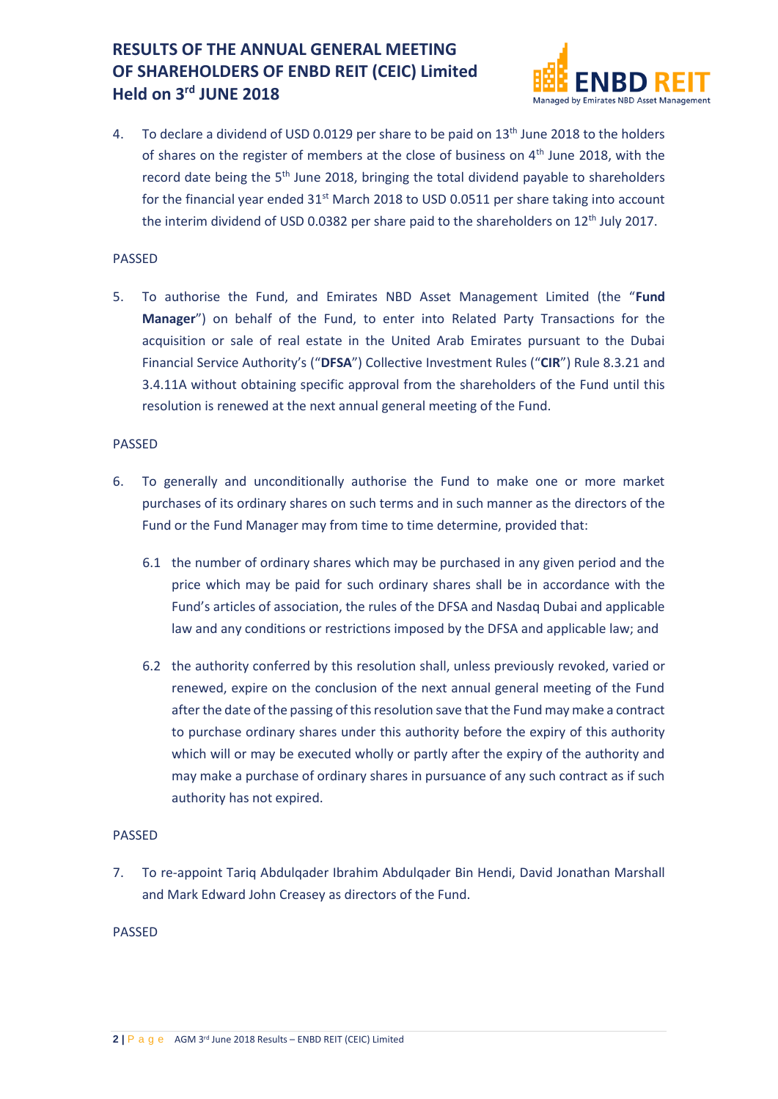# **RESULTS OF THE ANNUAL GENERAL MEETING OF SHAREHOLDERS OF ENBD REIT (CEIC) Limited Held on 3rd JUNE 2018**



4. To declare a dividend of USD 0.0129 per share to be paid on 13<sup>th</sup> June 2018 to the holders of shares on the register of members at the close of business on  $4<sup>th</sup>$  June 2018, with the record date being the 5<sup>th</sup> June 2018, bringing the total dividend payable to shareholders for the financial year ended  $31<sup>st</sup>$  March 2018 to USD 0.0511 per share taking into account the interim dividend of USD 0.0382 per share paid to the shareholders on  $12<sup>th</sup>$  July 2017.

#### PASSED

5. To authorise the Fund, and Emirates NBD Asset Management Limited (the "**Fund Manager**") on behalf of the Fund, to enter into Related Party Transactions for the acquisition or sale of real estate in the United Arab Emirates pursuant to the Dubai Financial Service Authority's ("**DFSA**") Collective Investment Rules ("**CIR**") Rule 8.3.21 and 3.4.11A without obtaining specific approval from the shareholders of the Fund until this resolution is renewed at the next annual general meeting of the Fund.

#### PASSED

- 6. To generally and unconditionally authorise the Fund to make one or more market purchases of its ordinary shares on such terms and in such manner as the directors of the Fund or the Fund Manager may from time to time determine, provided that:
	- 6.1 the number of ordinary shares which may be purchased in any given period and the price which may be paid for such ordinary shares shall be in accordance with the Fund's articles of association, the rules of the DFSA and Nasdaq Dubai and applicable law and any conditions or restrictions imposed by the DFSA and applicable law; and
	- 6.2 the authority conferred by this resolution shall, unless previously revoked, varied or renewed, expire on the conclusion of the next annual general meeting of the Fund after the date of the passing of this resolution save that the Fund may make a contract to purchase ordinary shares under this authority before the expiry of this authority which will or may be executed wholly or partly after the expiry of the authority and may make a purchase of ordinary shares in pursuance of any such contract as if such authority has not expired.

# PASSED

7. To re-appoint Tariq Abdulqader Ibrahim Abdulqader Bin Hendi, David Jonathan Marshall and Mark Edward John Creasey as directors of the Fund.

# PASSED